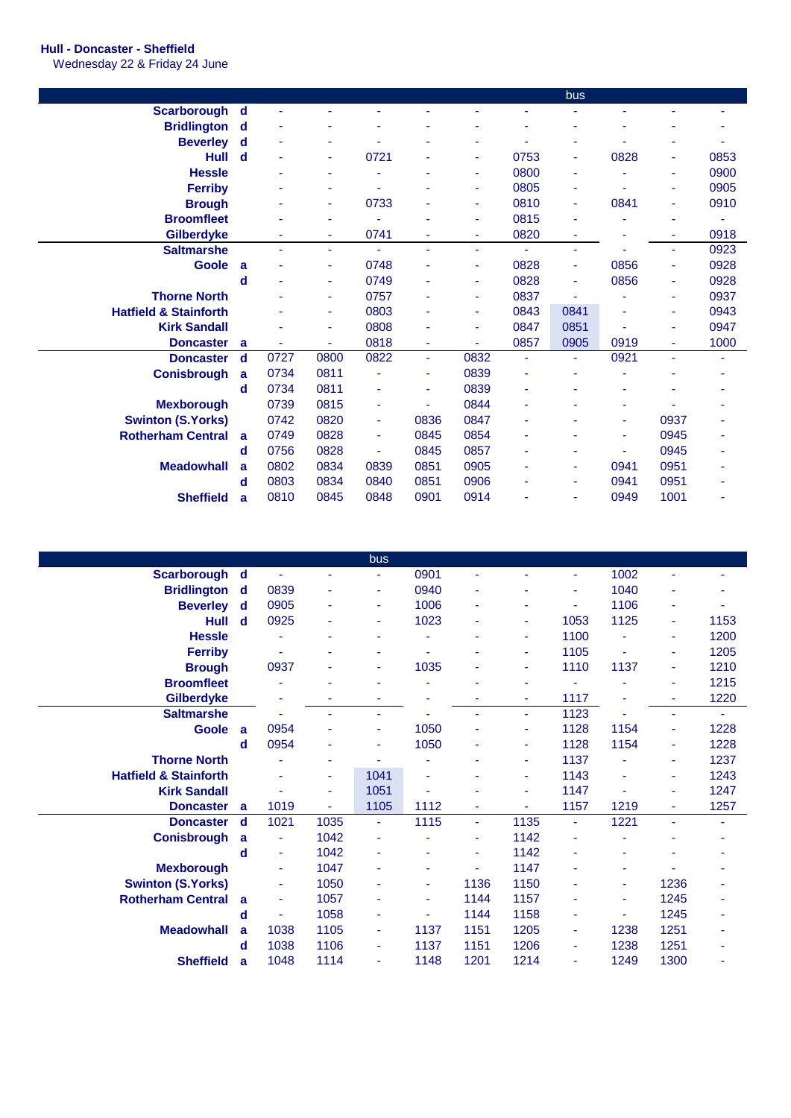## **Hull - Doncaster - Sheffield**

Wednesday 22 & Friday 24 June

|                                  |   |      |      |      |                |                |      | bus            |      |      |      |
|----------------------------------|---|------|------|------|----------------|----------------|------|----------------|------|------|------|
| <b>Scarborough</b>               | d |      |      |      |                |                |      |                |      |      |      |
| <b>Bridlington</b>               | d |      |      |      |                |                |      |                |      |      |      |
| <b>Beverley</b>                  | d | ٠    | ٠    |      |                | ٠              |      | ۰              |      |      |      |
| <b>Hull</b>                      | d |      | ٠    | 0721 |                | ٠              | 0753 | ٠              | 0828 | ٠    | 0853 |
| <b>Hessle</b>                    |   |      |      |      |                | ۰              | 0800 | ۰              |      | ۰    | 0900 |
| <b>Ferriby</b>                   |   |      |      |      |                | ۰              | 0805 | ۰              |      | ٠    | 0905 |
| <b>Brough</b>                    |   |      | ٠    | 0733 | ۰              | $\blacksquare$ | 0810 | $\blacksquare$ | 0841 | ٠    | 0910 |
| <b>Broomfleet</b>                |   |      |      |      |                | ۰              | 0815 | ٠              |      |      |      |
| Gilberdyke                       |   |      |      | 0741 |                | ٠              | 0820 |                |      |      | 0918 |
| <b>Saltmarshe</b>                |   |      | ٠    | ۰    | ٠              | ٠              | ä,   | ٠              |      | ۰    | 0923 |
| <b>Goole</b>                     | a |      | ٠    | 0748 |                | ۰              | 0828 | ٠              | 0856 | ٠    | 0928 |
|                                  | d |      | ٠    | 0749 |                | ٠              | 0828 | ٠              | 0856 | ٠    | 0928 |
| <b>Thorne North</b>              |   |      |      | 0757 |                | ٠              | 0837 |                |      | ٠    | 0937 |
| <b>Hatfield &amp; Stainforth</b> |   |      | ٠    | 0803 | ۳              | ٠              | 0843 | 0841           |      |      | 0943 |
| <b>Kirk Sandall</b>              |   |      | ٠    | 0808 |                | $\blacksquare$ | 0847 | 0851           |      | ٠    | 0947 |
| <b>Doncaster</b>                 | a |      | ٠    | 0818 | ٠              | ٠              | 0857 | 0905           | 0919 | ٠    | 1000 |
| <b>Doncaster</b>                 | d | 0727 | 0800 | 0822 | ÷              | 0832           | ÷    | ٠              | 0921 |      | ٠    |
| <b>Conisbrough</b>               | a | 0734 | 0811 |      | ۰              | 0839           |      |                |      |      |      |
|                                  | d | 0734 | 0811 | ۰    | ۰              | 0839           | ۰    |                |      |      |      |
| <b>Mexborough</b>                |   | 0739 | 0815 | ۰    | $\blacksquare$ | 0844           | ۰    |                |      |      |      |
| <b>Swinton (S.Yorks)</b>         |   | 0742 | 0820 | ٠    | 0836           | 0847           |      |                | ٠    | 0937 | ۰    |
| <b>Rotherham Central</b>         | a | 0749 | 0828 | ۰    | 0845           | 0854           |      |                |      | 0945 |      |
|                                  | d | 0756 | 0828 | ۰    | 0845           | 0857           |      | ٠              |      | 0945 | ٠    |
| <b>Meadowhall</b>                | a | 0802 | 0834 | 0839 | 0851           | 0905           |      | ٠              | 0941 | 0951 | ۰    |
|                                  | d | 0803 | 0834 | 0840 | 0851           | 0906           |      | ٠              | 0941 | 0951 | ۰    |
| <b>Sheffield</b>                 | a | 0810 | 0845 | 0848 | 0901           | 0914           |      |                | 0949 | 1001 |      |

|                                  |                |                |      | bus  |                |      |      |                |                |      |      |
|----------------------------------|----------------|----------------|------|------|----------------|------|------|----------------|----------------|------|------|
| Scarborough                      | d              |                |      | ۰    | 0901           | ٠    | ۰    | $\blacksquare$ | 1002           |      |      |
| <b>Bridlington</b>               | d              | 0839           |      | ٠    | 0940           | ٠    |      | ٠              | 1040           |      |      |
| <b>Beverley</b>                  | d              | 0905           |      | ۰    | 1006           | ٠    |      |                | 1106           |      |      |
| <b>Hull</b>                      | $\mathbf d$    | 0925           |      | ۰    | 1023           | ٠    | ٠    | 1053           | 1125           | ۰    | 1153 |
| <b>Hessle</b>                    |                |                |      | ۰    |                | ٠    | ٠    | 1100           |                | ٠    | 1200 |
| <b>Ferriby</b>                   |                |                |      | ۰    |                |      | ٠    | 1105           |                | ٠    | 1205 |
| <b>Brough</b>                    |                | 0937           |      | ۰    | 1035           |      | ä,   | 1110           | 1137           | ٠    | 1210 |
| <b>Broomfleet</b>                |                |                |      |      |                |      |      |                |                | ٠    | 1215 |
| <b>Gilberdyke</b>                |                |                |      | ۰    |                | ٠    | ٠    | 1117           |                | ٠    | 1220 |
| <b>Saltmarshe</b>                |                |                |      | ÷    |                | ٠    | Ξ    | 1123           |                | ۰    | ٠    |
| <b>Goole</b>                     | $\overline{a}$ | 0954           |      | ۰    | 1050           |      | ä,   | 1128           | 1154           | ٠    | 1228 |
|                                  | d              | 0954           |      | ۰    | 1050           | ٠    | ٠    | 1128           | 1154           | ٠    | 1228 |
| <b>Thorne North</b>              |                |                |      |      |                | ۰    | ٠    | 1137           |                | ٠    | 1237 |
| <b>Hatfield &amp; Stainforth</b> |                |                | ٠    | 1041 |                |      | Ξ    | 1143           |                | ٠    | 1243 |
| <b>Kirk Sandall</b>              |                |                | ۰    | 1051 |                |      | ä,   | 1147           |                | ٠    | 1247 |
| <b>Doncaster</b>                 | a              | 1019           | ÷.   | 1105 | 1112           | ٠    | ÷,   | 1157           | 1219           | ٠    | 1257 |
| <b>Doncaster</b>                 | d              | 1021           | 1035 | ٠    | 1115           | ÷    | 1135 | $\blacksquare$ | 1221           | ٠    | ۰    |
| <b>Conisbrough</b>               | a              | ÷              | 1042 | ۰    |                | ٠    | 1142 | ٠              |                |      | ۰    |
|                                  | d              | $\blacksquare$ | 1042 | ٠    |                | ٠    | 1142 |                |                |      |      |
| <b>Mexborough</b>                |                | ÷              | 1047 | ۰    | ٠              | ٠    | 1147 | ٠              | $\blacksquare$ |      |      |
| <b>Swinton (S.Yorks)</b>         |                | ÷              | 1050 | ٠    | $\blacksquare$ | 1136 | 1150 | ٠              | ٠              | 1236 | ٠    |
| <b>Rotherham Central</b>         | a              | ÷              | 1057 | ۰    | $\blacksquare$ | 1144 | 1157 | ٠              | ٠              | 1245 | ٠    |
|                                  | d              |                | 1058 | ٠    |                | 1144 | 1158 | ÷              |                | 1245 |      |
| <b>Meadowhall</b>                | a              | 1038           | 1105 | ٠    | 1137           | 1151 | 1205 | ۰              | 1238           | 1251 | ٠    |
|                                  | d              | 1038           | 1106 | ۰    | 1137           | 1151 | 1206 | ٠              | 1238           | 1251 |      |
| <b>Sheffield</b>                 | a              | 1048           | 1114 | ٠    | 1148           | 1201 | 1214 | ٠              | 1249           | 1300 | ٠    |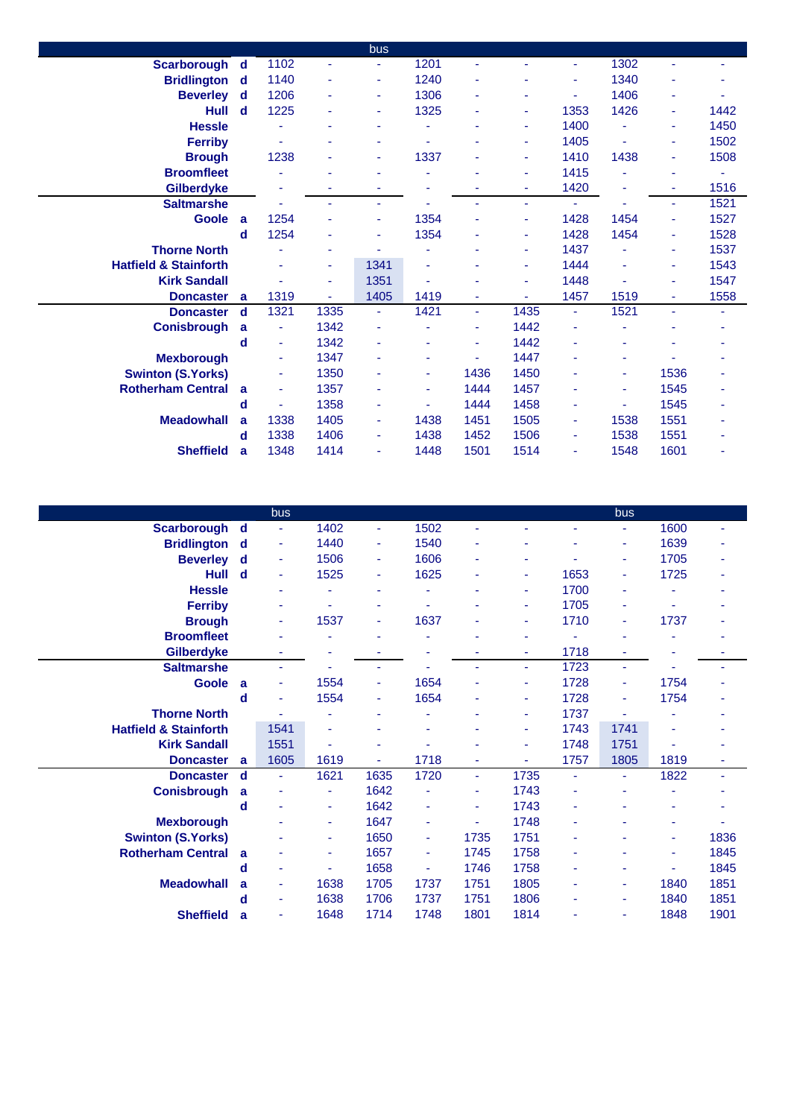|                                  |                |      |      | bus            |      |      |                |      |                |      |      |
|----------------------------------|----------------|------|------|----------------|------|------|----------------|------|----------------|------|------|
| Scarborough d                    |                | 1102 | ä,   |                | 1201 | ٠    |                | ٠    | 1302           |      |      |
| <b>Bridlington</b> d             |                | 1140 | ٠    | ٠              | 1240 | ٠    |                | ٠    | 1340           | ۰    |      |
| <b>Beverley</b> d                |                | 1206 | ٠    | ٠              | 1306 | ٠    | ٠              | ٠    | 1406           | ٠    |      |
| <b>Hull</b>                      | $\mathbf d$    | 1225 | ۰    | ٠              | 1325 | ٠    | ٠              | 1353 | 1426           | ٠    | 1442 |
| <b>Hessle</b>                    |                |      | ٠    | ٠              |      | ٠    | ٠              | 1400 |                | ٠    | 1450 |
| <b>Ferriby</b>                   |                |      | ۰    | ٠              |      | ٠    | $\blacksquare$ | 1405 | $\blacksquare$ | ٠    | 1502 |
| <b>Brough</b>                    |                | 1238 | ٠    | Ξ              | 1337 | ٠    | ÷              | 1410 | 1438           | ٠    | 1508 |
| <b>Broomfleet</b>                |                |      |      |                |      | ٠    | ٠              | 1415 |                | ۰    |      |
| Gilberdyke                       |                |      | ۰    | ٠              |      | ٠    | ÷,             | 1420 | ۰              | ٠    | 1516 |
| <b>Saltmarshe</b>                |                |      |      | ۰              |      | ä,   | $\blacksquare$ | ٠    |                | ٠    | 1521 |
| Goole                            | $\overline{a}$ | 1254 |      |                | 1354 | ä,   | $\blacksquare$ | 1428 | 1454           | ٠    | 1527 |
|                                  | d              | 1254 |      | ٠              | 1354 | ٠    | $\blacksquare$ | 1428 | 1454           | ٠    | 1528 |
| <b>Thorne North</b>              |                |      | ٠    | ٠              |      | ٠    | $\blacksquare$ | 1437 |                | ٠    | 1537 |
| <b>Hatfield &amp; Stainforth</b> |                |      | ٠    | 1341           |      | ٠    | $\blacksquare$ | 1444 |                | ٠    | 1543 |
| <b>Kirk Sandall</b>              |                |      | ۰    | 1351           |      |      | $\blacksquare$ | 1448 |                | ٠    | 1547 |
| <b>Doncaster</b>                 | a              | 1319 | ٠    | 1405           | 1419 | ٠    |                | 1457 | 1519           | ٠    | 1558 |
| <b>Doncaster</b>                 | d              | 1321 | 1335 | $\blacksquare$ | 1421 | Ξ    | 1435           | ÷.   | 1521           | ÷,   | ٠    |
| <b>Conisbrough</b>               | a              | ٠    | 1342 | ÷              |      | ٠    | 1442           | ٠    |                |      |      |
|                                  | d              | ٠    | 1342 | ٠              |      | ٠    | 1442           | ä,   |                |      |      |
| <b>Mexborough</b>                |                |      | 1347 | $\blacksquare$ |      | ٠    | 1447           | ٠    |                |      |      |
| <b>Swinton (S.Yorks)</b>         |                | ٠    | 1350 | ٠              | ۰    | 1436 | 1450           | ۰    | ٠              | 1536 |      |
| <b>Rotherham Central</b>         | <b>a</b>       | ٠    | 1357 | ٠              | ٠    | 1444 | 1457           | ٠    | ٠              | 1545 |      |
|                                  | d              |      | 1358 | ٠              |      | 1444 | 1458           | ۰    |                | 1545 |      |
| <b>Meadowhall</b>                | a              | 1338 | 1405 | $\blacksquare$ | 1438 | 1451 | 1505           | ٠    | 1538           | 1551 |      |
|                                  | d              | 1338 | 1406 | ٠              | 1438 | 1452 | 1506           | ٠    | 1538           | 1551 |      |
| <b>Sheffield</b>                 | a              | 1348 | 1414 | $\blacksquare$ | 1448 | 1501 | 1514           | ٠    | 1548           | 1601 |      |
|                                  |                |      |      |                |      |      |                |      |                |      |      |

|                                  |                | bus  |      |      |                |                |                |                | bus  |      |      |
|----------------------------------|----------------|------|------|------|----------------|----------------|----------------|----------------|------|------|------|
| <b>Scarborough</b>               | $\mathbf d$    | ÷    | 1402 | ÷    | 1502           | ٠              | ä,             | $\blacksquare$ |      | 1600 | ٠    |
| <b>Bridlington</b>               | d              | Ξ    | 1440 |      | 1540           |                |                |                | ۰    | 1639 |      |
| <b>Beverley</b>                  | d              | ۰    | 1506 | ٠    | 1606           | ٠              | ۰              |                | ۰    | 1705 |      |
| Hull                             | $\mathbf d$    | ÷    | 1525 | ٠    | 1625           | ٠              | $\blacksquare$ | 1653           | ٠    | 1725 |      |
| <b>Hessle</b>                    |                |      |      | ٠    |                |                | $\blacksquare$ | 1700           |      |      |      |
| <b>Ferriby</b>                   |                |      |      |      |                |                | ä,             | 1705           |      |      |      |
| <b>Brough</b>                    |                | ٠    | 1537 | ٠    | 1637           |                | ۰              | 1710           |      | 1737 |      |
| <b>Broomfleet</b>                |                |      |      |      |                |                | ÷              |                |      |      |      |
| <b>Gilberdyke</b>                |                | ٠    | ٠    |      |                | ۰              | $\blacksquare$ | 1718           |      |      |      |
| <b>Saltmarshe</b>                |                | ٠    |      |      |                |                | ٠              | 1723           |      |      |      |
| <b>Goole</b>                     | $\overline{a}$ | ٠    | 1554 |      | 1654           |                | ä,             | 1728           | ۰    | 1754 |      |
|                                  | d              | ÷    | 1554 | ٠    | 1654           | ٠              | $\blacksquare$ | 1728           | ٠    | 1754 |      |
| <b>Thorne North</b>              |                |      |      |      |                |                | $\blacksquare$ | 1737           |      |      |      |
| <b>Hatfield &amp; Stainforth</b> |                | 1541 | ٠    |      |                |                | ä,             | 1743           | 1741 |      |      |
| <b>Kirk Sandall</b>              |                | 1551 | ٠    |      |                |                | ä,             | 1748           | 1751 |      |      |
| <b>Doncaster</b>                 | a              | 1605 | 1619 | Ξ.   | 1718           | ٠              | ä,             | 1757           | 1805 | 1819 | ٠    |
| <b>Doncaster</b>                 | $\mathbf d$    | ÷    | 1621 | 1635 | 1720           | $\blacksquare$ | 1735           | $\blacksquare$ | ٠    | 1822 | ٠    |
| <b>Conisbrough</b>               | a              |      | ٠    | 1642 |                | ۰              | 1743           |                |      |      |      |
|                                  | d              |      | ٠    | 1642 | ٠              | ۰              | 1743           | ٠              |      |      |      |
| <b>Mexborough</b>                |                |      | ٠    | 1647 | $\blacksquare$ | ٠              | 1748           | ٠              |      | ۰    |      |
| <b>Swinton (S.Yorks)</b>         |                |      | ٠    | 1650 | $\blacksquare$ | 1735           | 1751           | ٠              |      | ٠    | 1836 |
| <b>Rotherham Central</b>         | a              |      | ٠    | 1657 | $\blacksquare$ | 1745           | 1758           |                |      | ٠    | 1845 |
|                                  | d              |      | ٠    | 1658 |                | 1746           | 1758           |                |      | ٠    | 1845 |
| <b>Meadowhall</b>                | a              | ٠    | 1638 | 1705 | 1737           | 1751           | 1805           |                |      | 1840 | 1851 |
|                                  | d              | ٠    | 1638 | 1706 | 1737           | 1751           | 1806           | ٠              | ٠    | 1840 | 1851 |
| <b>Sheffield</b>                 | a              | ٠    | 1648 | 1714 | 1748           | 1801           | 1814           |                |      | 1848 | 1901 |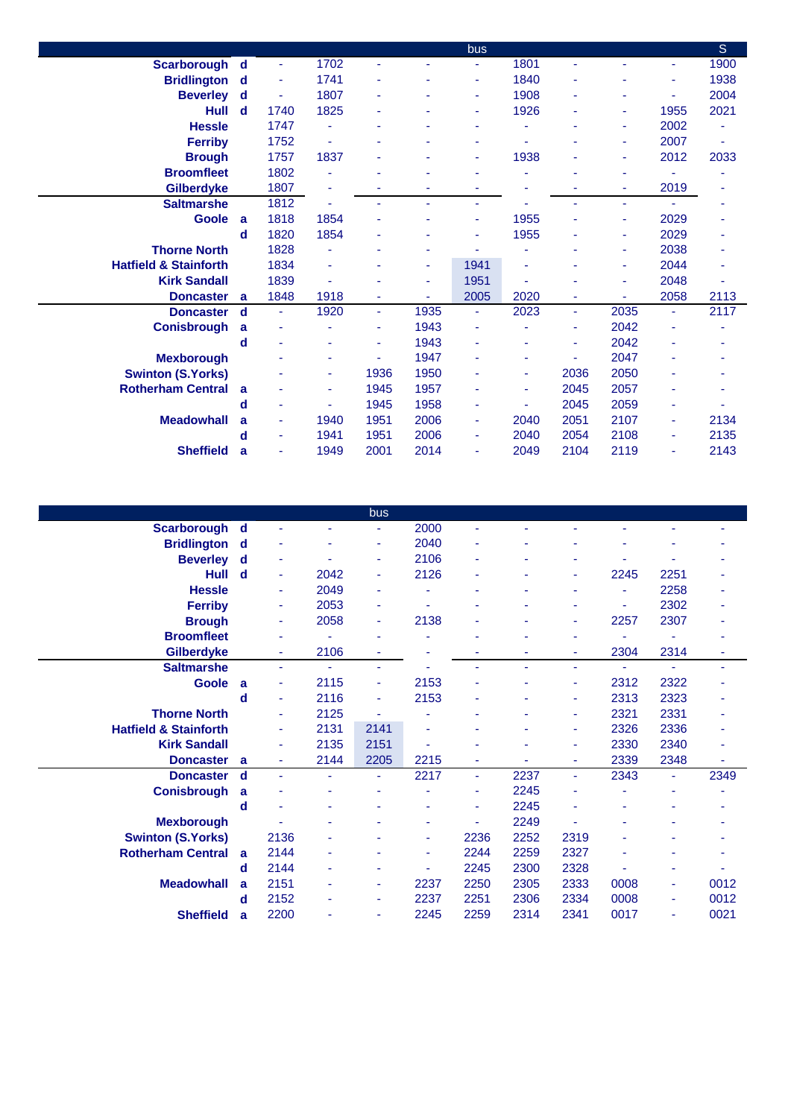|                                  |   |      |      |                |                | bus            |      |      |      |                | S    |
|----------------------------------|---|------|------|----------------|----------------|----------------|------|------|------|----------------|------|
| Scarborough d                    |   |      | 1702 | ٠              |                |                | 1801 |      |      | ٠              | 1900 |
| <b>Bridlington</b> d             |   | ٠    | 1741 | ٠              | ٠              | ٠              | 1840 |      | ٠    | ä,             | 1938 |
| <b>Beverley</b> d                |   | ٠    | 1807 | ۰              | ٠              | ٠              | 1908 | ۰    | ٠    | ä,             | 2004 |
| Hull                             | d | 1740 | 1825 | ٠              |                | ٠              | 1926 |      | ٠    | 1955           | 2021 |
| <b>Hessle</b>                    |   | 1747 | ٠    | ٠              |                | ٠              |      |      | ٠    | 2002           |      |
| <b>Ferriby</b>                   |   | 1752 | ٠    | ٠              |                | ٠              |      |      | ٠    | 2007           | ٠    |
| <b>Brough</b>                    |   | 1757 | 1837 | ٠              |                | ۰              | 1938 |      | ٠    | 2012           | 2033 |
| <b>Broomfleet</b>                |   | 1802 |      |                |                |                |      |      | ۰    |                |      |
| <b>Gilberdyke</b>                |   | 1807 |      |                |                |                |      |      | ٠    | 2019           |      |
| <b>Saltmarshe</b>                |   | 1812 |      | ۰              | $\blacksquare$ | ٠              |      |      | ٠    | $\blacksquare$ |      |
| Goole a                          |   | 1818 | 1854 |                |                | ٠              | 1955 |      | ۰    | 2029           |      |
|                                  | d | 1820 | 1854 | ۰              |                | ٠              | 1955 |      | ۰    | 2029           |      |
| <b>Thorne North</b>              |   | 1828 | ٠    | ٠              |                | $\blacksquare$ |      |      | ٠    | 2038           |      |
| <b>Hatfield &amp; Stainforth</b> |   | 1834 | ÷,   | ۰              | $\blacksquare$ | 1941           |      |      | ٠    | 2044           |      |
| <b>Kirk Sandall</b>              |   | 1839 |      |                | ٠              | 1951           |      |      | ۰    | 2048           |      |
| <b>Doncaster</b>                 | a | 1848 | 1918 | ۰              |                | 2005           | 2020 | ٠    | ٠    | 2058           | 2113 |
| <b>Doncaster</b>                 | d | ÷    | 1920 | ÷              | 1935           | $\blacksquare$ | 2023 | ÷    | 2035 | ÷              | 2117 |
| <b>Conisbrough</b>               | a |      |      | ٠              | 1943           | ٠              |      | ٠    | 2042 | ٠              |      |
|                                  | d |      |      | $\blacksquare$ | 1943           | ٠              |      | ٠    | 2042 |                |      |
| <b>Mexborough</b>                |   |      |      |                | 1947           | ٠              | ۰    | ٠    | 2047 |                |      |
| <b>Swinton (S.Yorks)</b>         |   |      | ٠    | 1936           | 1950           | ۰              | ۰    | 2036 | 2050 | ٠              |      |
| <b>Rotherham Central</b>         | a |      | ٠    | 1945           | 1957           | ۰              | ٠    | 2045 | 2057 | ۰              |      |
|                                  | d |      |      | 1945           | 1958           | ۰              |      | 2045 | 2059 |                |      |
| <b>Meadowhall</b>                | a |      | 1940 | 1951           | 2006           | ٠              | 2040 | 2051 | 2107 | $\blacksquare$ | 2134 |
|                                  | d | ٠    | 1941 | 1951           | 2006           | ٠              | 2040 | 2054 | 2108 | ٠              | 2135 |
| <b>Sheffield</b>                 | a | ۰    | 1949 | 2001           | 2014           | ۰              | 2049 | 2104 | 2119 | ٠              | 2143 |
|                                  |   |      |      |                |                |                |      |      |      |                |      |

|                                  |   |                |      | bus  |      |      |      |                |      |      |      |
|----------------------------------|---|----------------|------|------|------|------|------|----------------|------|------|------|
| <b>Scarborough</b>               | d |                |      | ۰    | 2000 | ٠    |      |                |      |      |      |
| <b>Bridlington</b> d             |   |                | ۰    | ٠    | 2040 | ۰    |      |                |      |      |      |
| <b>Beverley</b>                  | d | ٠              |      | ٠    | 2106 | ۰    |      |                |      | ۰    |      |
| <b>Hull</b>                      | d | $\blacksquare$ | 2042 | ٠    | 2126 | ۰    | ÷    | $\blacksquare$ | 2245 | 2251 |      |
| <b>Hessle</b>                    |   | $\blacksquare$ | 2049 | ٠    |      |      |      |                |      | 2258 |      |
| <b>Ferriby</b>                   |   | ٠              | 2053 |      |      |      |      |                |      | 2302 |      |
| <b>Brough</b>                    |   | $\blacksquare$ | 2058 | ٠    | 2138 | ۰    | ۰    | ٠              | 2257 | 2307 |      |
| <b>Broomfleet</b>                |   |                |      | ٠    |      |      |      |                |      |      |      |
| <b>Gilberdyke</b>                |   | $\blacksquare$ | 2106 | ÷    |      |      | ۳    | ٠              | 2304 | 2314 |      |
| <b>Saltmarshe</b>                |   | $\blacksquare$ | ٠    | ٠    |      | ٠    | ä,   | ٠              |      | ۰    |      |
| <b>Goole</b>                     | a | ٠              | 2115 | ÷,   | 2153 |      |      | ٠              | 2312 | 2322 |      |
|                                  | d | $\blacksquare$ | 2116 | ٠    | 2153 | ۰    | ä,   | ٠              | 2313 | 2323 |      |
| <b>Thorne North</b>              |   | ٠              | 2125 |      |      |      |      | ٠              | 2321 | 2331 |      |
| <b>Hatfield &amp; Stainforth</b> |   |                | 2131 | 2141 |      |      |      | ٠              | 2326 | 2336 |      |
| <b>Kirk Sandall</b>              |   | ٠              | 2135 | 2151 |      |      |      | ٠              | 2330 | 2340 |      |
| <b>Doncaster</b>                 | a | $\blacksquare$ | 2144 | 2205 | 2215 | ٠    | ä,   | ٠              | 2339 | 2348 | ٠    |
| <b>Doncaster</b>                 | d | $\blacksquare$ | ٠    | ٠    | 2217 | ٠    | 2237 | $\blacksquare$ | 2343 | ٠    | 2349 |
| <b>Conisbrough</b>               | a |                |      |      |      | ۰    | 2245 |                |      |      |      |
|                                  | d |                |      |      |      | ٠    | 2245 | ٠              |      |      |      |
| <b>Mexborough</b>                |   |                |      | ۰    | ٠    | ۰    | 2249 | ÷,             |      | ۳    |      |
| <b>Swinton (S.Yorks)</b>         |   | 2136           |      |      | ٠    | 2236 | 2252 | 2319           |      |      |      |
| <b>Rotherham Central</b>         | a | 2144           |      |      | ٠    | 2244 | 2259 | 2327           |      |      |      |
|                                  | d | 2144           | ۰    |      |      | 2245 | 2300 | 2328           |      | ۰    |      |
| <b>Meadowhall</b>                | a | 2151           |      | ۰    | 2237 | 2250 | 2305 | 2333           | 0008 | ٠    | 0012 |
|                                  | d | 2152           | ۰    | ٠    | 2237 | 2251 | 2306 | 2334           | 0008 | ٠    | 0012 |
| <b>Sheffield</b>                 | a | 2200           |      | ٠    | 2245 | 2259 | 2314 | 2341           | 0017 | ٠    | 0021 |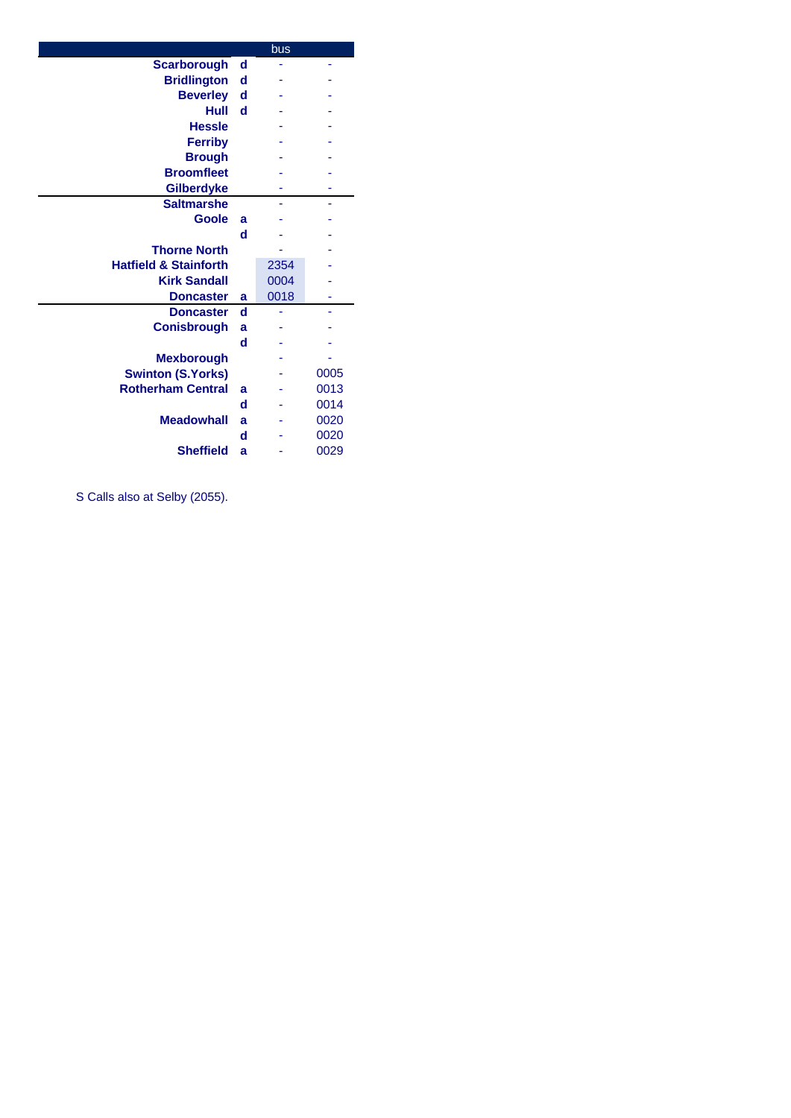| <b>Scarborough</b><br>d<br><b>Bridlington</b><br>d<br><b>Beverley</b><br>d<br>Hull<br>- d<br><b>Hessle</b><br><b>Ferriby</b><br><b>Brough</b><br><b>Broomfleet</b><br><b>Gilberdyke</b><br><b>Saltmarshe</b><br><b>Goole</b><br>a<br>d<br><b>Thorne North</b><br><b>Hatfield &amp; Stainforth</b><br>2354<br>0004<br><b>Kirk Sandall</b><br>0018<br><b>Doncaster</b><br>a<br>d<br><b>Doncaster</b><br><b>Conisbrough</b><br>a<br>d<br><b>Mexborough</b><br><b>Swinton (S.Yorks)</b><br>0005<br><b>Rotherham Central</b><br>0013<br>a<br>d<br>0014<br><b>Meadowhall</b><br>0020<br>a<br>0020<br>d<br><b>Sheffield</b><br>0029<br>a |  | bus |  |
|-----------------------------------------------------------------------------------------------------------------------------------------------------------------------------------------------------------------------------------------------------------------------------------------------------------------------------------------------------------------------------------------------------------------------------------------------------------------------------------------------------------------------------------------------------------------------------------------------------------------------------------|--|-----|--|
|                                                                                                                                                                                                                                                                                                                                                                                                                                                                                                                                                                                                                                   |  |     |  |
|                                                                                                                                                                                                                                                                                                                                                                                                                                                                                                                                                                                                                                   |  |     |  |
|                                                                                                                                                                                                                                                                                                                                                                                                                                                                                                                                                                                                                                   |  |     |  |
|                                                                                                                                                                                                                                                                                                                                                                                                                                                                                                                                                                                                                                   |  |     |  |
|                                                                                                                                                                                                                                                                                                                                                                                                                                                                                                                                                                                                                                   |  |     |  |
|                                                                                                                                                                                                                                                                                                                                                                                                                                                                                                                                                                                                                                   |  |     |  |
|                                                                                                                                                                                                                                                                                                                                                                                                                                                                                                                                                                                                                                   |  |     |  |
|                                                                                                                                                                                                                                                                                                                                                                                                                                                                                                                                                                                                                                   |  |     |  |
|                                                                                                                                                                                                                                                                                                                                                                                                                                                                                                                                                                                                                                   |  |     |  |
|                                                                                                                                                                                                                                                                                                                                                                                                                                                                                                                                                                                                                                   |  |     |  |
|                                                                                                                                                                                                                                                                                                                                                                                                                                                                                                                                                                                                                                   |  |     |  |
|                                                                                                                                                                                                                                                                                                                                                                                                                                                                                                                                                                                                                                   |  |     |  |
|                                                                                                                                                                                                                                                                                                                                                                                                                                                                                                                                                                                                                                   |  |     |  |
|                                                                                                                                                                                                                                                                                                                                                                                                                                                                                                                                                                                                                                   |  |     |  |
|                                                                                                                                                                                                                                                                                                                                                                                                                                                                                                                                                                                                                                   |  |     |  |
|                                                                                                                                                                                                                                                                                                                                                                                                                                                                                                                                                                                                                                   |  |     |  |
|                                                                                                                                                                                                                                                                                                                                                                                                                                                                                                                                                                                                                                   |  |     |  |
|                                                                                                                                                                                                                                                                                                                                                                                                                                                                                                                                                                                                                                   |  |     |  |
|                                                                                                                                                                                                                                                                                                                                                                                                                                                                                                                                                                                                                                   |  |     |  |
|                                                                                                                                                                                                                                                                                                                                                                                                                                                                                                                                                                                                                                   |  |     |  |
|                                                                                                                                                                                                                                                                                                                                                                                                                                                                                                                                                                                                                                   |  |     |  |
|                                                                                                                                                                                                                                                                                                                                                                                                                                                                                                                                                                                                                                   |  |     |  |
|                                                                                                                                                                                                                                                                                                                                                                                                                                                                                                                                                                                                                                   |  |     |  |
|                                                                                                                                                                                                                                                                                                                                                                                                                                                                                                                                                                                                                                   |  |     |  |
|                                                                                                                                                                                                                                                                                                                                                                                                                                                                                                                                                                                                                                   |  |     |  |
|                                                                                                                                                                                                                                                                                                                                                                                                                                                                                                                                                                                                                                   |  |     |  |

S Calls also at Selby (2055).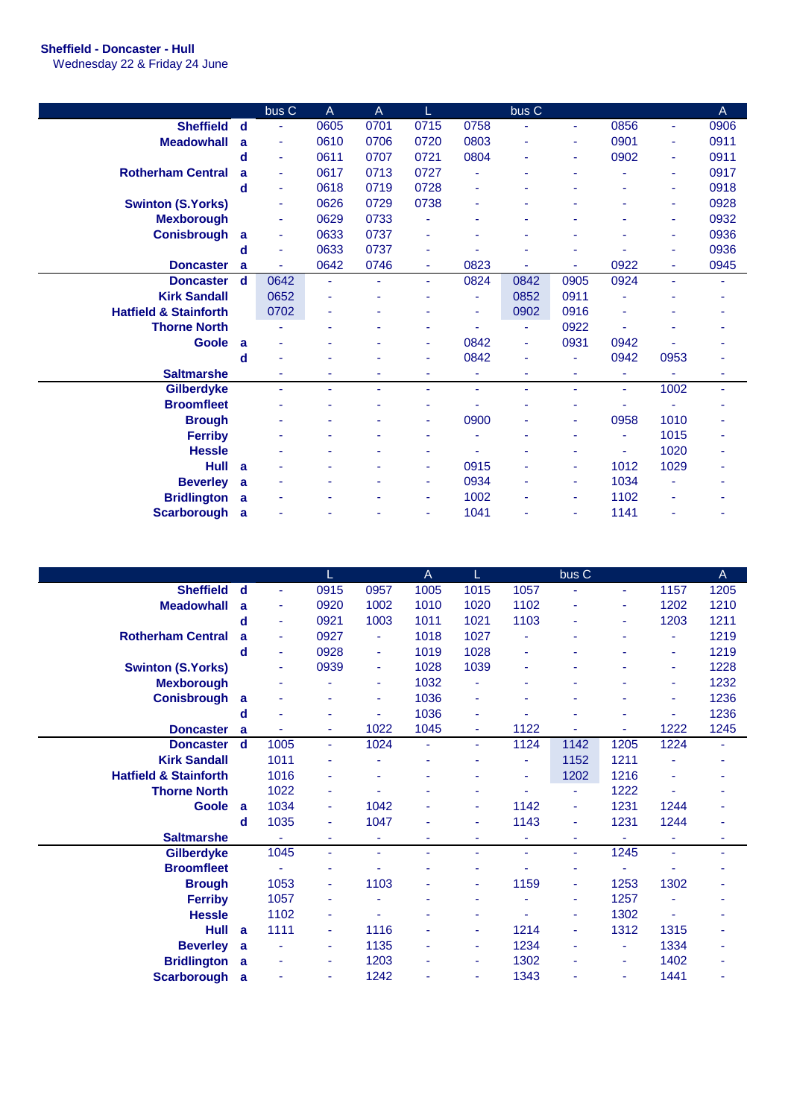## **Sheffield - Doncaster - Hull**

Wednesday 22 & Friday 24 June

|                                  |             | bus C          | $\overline{A}$ | A    |                |      | bus C |      |      |      | A    |
|----------------------------------|-------------|----------------|----------------|------|----------------|------|-------|------|------|------|------|
| <b>Sheffield</b>                 | d           |                | 0605           | 0701 | 0715           | 0758 |       | ٠    | 0856 | ٠    | 0906 |
| <b>Meadowhall</b>                | a           | ٠              | 0610           | 0706 | 0720           | 0803 |       | ٠    | 0901 | ٠    | 0911 |
|                                  | d           | $\blacksquare$ | 0611           | 0707 | 0721           | 0804 | ä,    | ٠    | 0902 | ٠    | 0911 |
| <b>Rotherham Central</b>         | a           | $\blacksquare$ | 0617           | 0713 | 0727           |      | ٠     |      |      | ٠    | 0917 |
|                                  | d           |                | 0618           | 0719 | 0728           | ٠    |       |      |      |      | 0918 |
| <b>Swinton (S.Yorks)</b>         |             | ٠              | 0626           | 0729 | 0738           | ۰    |       |      |      |      | 0928 |
| <b>Mexborough</b>                |             |                | 0629           | 0733 |                |      |       |      |      | ٠    | 0932 |
| <b>Conisbrough</b>               | a           | ٠              | 0633           | 0737 |                |      |       |      |      | ٠    | 0936 |
|                                  | d           | ٠              | 0633           | 0737 | ٠              |      |       |      |      |      | 0936 |
| <b>Doncaster</b>                 | a           |                | 0642           | 0746 | $\blacksquare$ | 0823 |       | ä,   | 0922 | ٠    | 0945 |
| <b>Doncaster</b>                 | $\mathbf d$ | 0642           | ٠              | ÷    | ٠              | 0824 | 0842  | 0905 | 0924 | ÷.   | ٠    |
| <b>Kirk Sandall</b>              |             | 0652           |                |      |                |      | 0852  | 0911 |      |      |      |
| <b>Hatfield &amp; Stainforth</b> |             | 0702           |                |      |                |      | 0902  | 0916 |      |      |      |
| <b>Thorne North</b>              |             |                |                |      |                |      | ä,    | 0922 |      |      |      |
| <b>Goole</b>                     | <b>a</b>    |                |                |      | $\blacksquare$ | 0842 | ٠     | 0931 | 0942 |      |      |
|                                  | d           |                |                |      | ٠              | 0842 | ÷     | ٠    | 0942 | 0953 |      |
| <b>Saltmarshe</b>                |             |                |                |      |                |      |       |      | ۰    |      |      |
| <b>Gilberdyke</b>                |             |                |                | ä,   | ä,             | ٠    | ä,    | ٠    | ٠    | 1002 | ۰    |
| <b>Broomfleet</b>                |             |                |                |      |                |      |       |      |      |      |      |
| <b>Brough</b>                    |             |                |                |      |                | 0900 |       | ٠    | 0958 | 1010 |      |
| <b>Ferriby</b>                   |             |                |                |      |                |      |       |      | ٠    | 1015 |      |
| <b>Hessle</b>                    |             |                |                | ۳    | ٠              |      | ٠     | ٠    | ٠    | 1020 |      |
| <b>Hull</b>                      | <b>a</b>    |                |                | ٠    | $\blacksquare$ | 0915 | ä,    | ٠    | 1012 | 1029 |      |
| <b>Beverley</b>                  | a           |                |                |      | ٠              | 0934 |       | ٠    | 1034 |      |      |
| <b>Bridlington</b>               | <b>a</b>    |                |                |      | ٠              | 1002 |       | ٠    | 1102 |      |      |
| <b>Scarborough</b>               | a           |                |                |      | $\blacksquare$ | 1041 |       | ٠    | 1141 |      |      |

|                                  |              |                |      |      | A    | L              |      | bus C          |      |      | A    |
|----------------------------------|--------------|----------------|------|------|------|----------------|------|----------------|------|------|------|
| <b>Sheffield</b>                 | d            | ÷,             | 0915 | 0957 | 1005 | 1015           | 1057 |                | ٠    | 1157 | 1205 |
| <b>Meadowhall</b>                | a            | $\blacksquare$ | 0920 | 1002 | 1010 | 1020           | 1102 | ٠              | ٠    | 1202 | 1210 |
|                                  | d            | $\blacksquare$ | 0921 | 1003 | 1011 | 1021           | 1103 |                |      | 1203 | 1211 |
| <b>Rotherham Central</b>         | a            | ٠              | 0927 | ٠    | 1018 | 1027           | ٠    |                |      | Ξ    | 1219 |
|                                  | d            | ٠              | 0928 | ٠    | 1019 | 1028           | ٠    |                |      | ۰    | 1219 |
| <b>Swinton (S.Yorks)</b>         |              | ٠              | 0939 | ٠    | 1028 | 1039           | ٠    |                |      | ٠    | 1228 |
| <b>Mexborough</b>                |              |                |      | ۰    | 1032 |                |      |                |      |      | 1232 |
| <b>Conisbrough</b>               | a            |                |      | ۰    | 1036 | ٠              |      |                |      |      | 1236 |
|                                  | d            |                |      | ٠    | 1036 | ۰              |      |                |      | ٠    | 1236 |
| <b>Doncaster</b>                 | a            |                | ٠    | 1022 | 1045 | ٠              | 1122 |                |      | 1222 | 1245 |
| <b>Doncaster</b>                 | d            | 1005           | ٠    | 1024 | ä,   | $\blacksquare$ | 1124 | 1142           | 1205 | 1224 | ٠    |
| <b>Kirk Sandall</b>              |              | 1011           |      |      |      |                | ٠    | 1152           | 1211 |      |      |
| <b>Hatfield &amp; Stainforth</b> |              | 1016           |      |      |      |                | ä,   | 1202           | 1216 |      |      |
| <b>Thorne North</b>              |              | 1022           |      |      |      |                |      | ٠              | 1222 |      |      |
| <b>Goole</b>                     | a            | 1034           | ۰    | 1042 |      |                | 1142 | $\blacksquare$ | 1231 | 1244 |      |
|                                  | d            | 1035           | ۰    | 1047 |      | ٠              | 1143 | $\blacksquare$ | 1231 | 1244 |      |
| <b>Saltmarshe</b>                |              |                |      | ä,   | ٠    | ٠              | ٠    |                |      |      | ۰    |
| <b>Gilberdyke</b>                |              | 1045           | ٠    | ÷    | ٠    | ٠              | ä,   | $\blacksquare$ | 1245 | ÷.   | ٠    |
| <b>Broomfleet</b>                |              |                |      |      |      |                |      |                |      |      |      |
| <b>Brough</b>                    |              | 1053           | ۰    | 1103 |      | ٠              | 1159 | ٠              | 1253 | 1302 |      |
| <b>Ferriby</b>                   |              | 1057           | ۰    |      |      |                |      | ٠              | 1257 |      |      |
| <b>Hessle</b>                    |              | 1102           |      |      |      |                |      | ÷              | 1302 |      |      |
| Hull                             | $\mathbf{a}$ | 1111           | ٠    | 1116 |      | ٠              | 1214 | $\blacksquare$ | 1312 | 1315 |      |
| <b>Beverley</b>                  | a            |                | ٠    | 1135 |      | ٠              | 1234 | ٠              | ٠    | 1334 |      |
| <b>Bridlington</b>               | a            |                | ٠    | 1203 |      | ٠              | 1302 | ٠              | ٠    | 1402 | ۰    |
| <b>Scarborough</b>               | a            |                |      | 1242 |      |                | 1343 |                |      | 1441 |      |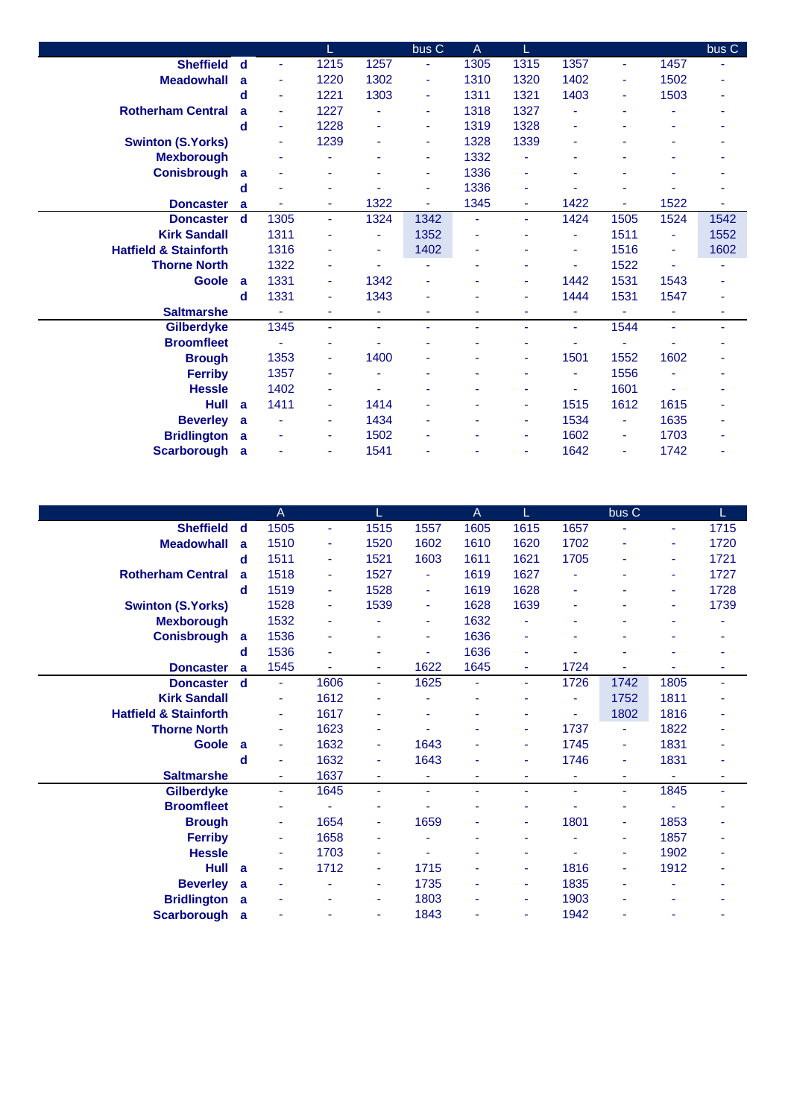|                                  |             |      |      |                | bus C          | A              | L              |      |      |                | bus C |
|----------------------------------|-------------|------|------|----------------|----------------|----------------|----------------|------|------|----------------|-------|
| <b>Sheffield</b>                 | $\mathbf d$ | ٠    | 1215 | 1257           |                | 1305           | 1315           | 1357 | ä,   | 1457           |       |
| <b>Meadowhall</b>                | a           | ٠    | 1220 | 1302           | ٠              | 1310           | 1320           | 1402 | ٠    | 1502           | ۰     |
|                                  | d           | ٠    | 1221 | 1303           | $\blacksquare$ | 1311           | 1321           | 1403 | ٠    | 1503           | ۰     |
| <b>Rotherham Central</b>         | a           |      | 1227 |                | ٠              | 1318           | 1327           |      |      |                |       |
|                                  | d           | ٠    | 1228 | $\blacksquare$ | ٠              | 1319           | 1328           | ٠    |      |                |       |
| <b>Swinton (S.Yorks)</b>         |             |      | 1239 | ٠              | ٠              | 1328           | 1339           | ۰    |      |                |       |
| <b>Mexborough</b>                |             |      | ۰    | ٠              | ٠              | 1332           | ٠              | ۰    |      |                |       |
| <b>Conisbrough</b>               | a           |      |      |                | ٠              | 1336           |                |      |      |                |       |
|                                  | d           |      | ٠    |                | ٠              | 1336           | ۰              |      |      |                |       |
| <b>Doncaster</b>                 | a           |      | ٠    | 1322           | ä,             | 1345           | $\blacksquare$ | 1422 | ÷.   | 1522           | ٠     |
| <b>Doncaster</b>                 | $\mathbf d$ | 1305 | ٠    | 1324           | 1342           | Ξ              | $\blacksquare$ | 1424 | 1505 | 1524           | 1542  |
| <b>Kirk Sandall</b>              |             | 1311 | ۰    |                | 1352           | ۰              |                | ٠    | 1511 |                | 1552  |
| <b>Hatfield &amp; Stainforth</b> |             | 1316 | ٠    | ٠              | 1402           | ÷              |                | ٠    | 1516 | ٠              | 1602  |
| <b>Thorne North</b>              |             | 1322 | ٠    | ä,             | ۰              | ٠              |                | ÷    | 1522 | $\blacksquare$ | ۰     |
| <b>Goole</b>                     | a           | 1331 | ٠    | 1342           |                | ٠              | ٠              | 1442 | 1531 | 1543           |       |
|                                  | d           | 1331 | ۰    | 1343           |                |                | ٠              | 1444 | 1531 | 1547           | ٠     |
| <b>Saltmarshe</b>                |             |      | ä,   | ÷,             |                | $\blacksquare$ | ٠              | ÷    |      | ÷,             | ٠     |
| <b>Gilberdyke</b>                |             | 1345 | ÷    | $\blacksquare$ | ٠              | ä,             | $\blacksquare$ | ÷    | 1544 | $\blacksquare$ | ٠     |
| <b>Broomfleet</b>                |             |      | ٠    |                |                |                |                |      |      |                |       |
| <b>Brough</b>                    |             | 1353 | ٠    | 1400           |                |                | ٠              | 1501 | 1552 | 1602           |       |
| <b>Ferriby</b>                   |             | 1357 | ۰    |                |                | ۰              | ٠              | ٠    | 1556 |                |       |
| <b>Hessle</b>                    |             | 1402 | ٠    |                |                | ۰              |                | ٠    | 1601 |                |       |
| Hull                             | a           | 1411 | ٠    | 1414           |                | ٠              | $\blacksquare$ | 1515 | 1612 | 1615           |       |
| <b>Beverley</b>                  | a           |      | ۰    | 1434           |                |                | ÷              | 1534 | ٠    | 1635           |       |
| <b>Bridlington</b>               | a           |      | ٠    | 1502           |                | ٠              | ÷              | 1602 | ٠    | 1703           | ٠     |
| <b>Scarborough</b>               | a           |      | ٠    | 1541           |                | ۰              | ٠              | 1642 | ٠    | 1742           | ٠     |

|                                  |   | A              |                          |      |      | A    | L    |      | bus C          |      | L.   |
|----------------------------------|---|----------------|--------------------------|------|------|------|------|------|----------------|------|------|
| <b>Sheffield</b>                 | d | 1505           | $\overline{\phantom{a}}$ | 1515 | 1557 | 1605 | 1615 | 1657 | ٠              | ٠    | 1715 |
| <b>Meadowhall</b>                | a | 1510           | ٠                        | 1520 | 1602 | 1610 | 1620 | 1702 | ٠              | ٠    | 1720 |
|                                  | d | 1511           | ٠                        | 1521 | 1603 | 1611 | 1621 | 1705 |                | ۰    | 1721 |
| <b>Rotherham Central</b>         | a | 1518           | ٠                        | 1527 | ٠    | 1619 | 1627 | ۰    |                | ۰    | 1727 |
|                                  | d | 1519           | ٠                        | 1528 | ٠    | 1619 | 1628 | ٠    |                | ٠    | 1728 |
| <b>Swinton (S.Yorks)</b>         |   | 1528           | ٠                        | 1539 | ٠    | 1628 | 1639 | ٠    |                | ٠    | 1739 |
| <b>Mexborough</b>                |   | 1532           | ۰                        |      | ٠    | 1632 |      | ۰    |                |      |      |
| <b>Conisbrough</b>               | a | 1536           | ٠                        |      | ٠    | 1636 |      |      |                |      |      |
|                                  | d | 1536           | ٠                        |      | ٠    | 1636 | ٠    | ٠    |                |      |      |
| <b>Doncaster</b>                 | a | 1545           | ٠                        | ٠    | 1622 | 1645 | ٠    | 1724 |                |      | ۰    |
| <b>Doncaster</b>                 | d | $\blacksquare$ | 1606                     | ٠    | 1625 | ٠    | ٠    | 1726 | 1742           | 1805 | ٠    |
| <b>Kirk Sandall</b>              |   | ٠              | 1612                     |      |      |      |      | ٠    | 1752           | 1811 |      |
| <b>Hatfield &amp; Stainforth</b> |   | ٠              | 1617                     |      |      |      |      | ٠    | 1802           | 1816 |      |
| <b>Thorne North</b>              |   | ٠              | 1623                     |      | ۰    |      | ٠    | 1737 | $\blacksquare$ | 1822 |      |
| <b>Goole</b>                     | a | ٠              | 1632                     | ٠    | 1643 |      | ۰    | 1745 | $\blacksquare$ | 1831 |      |
|                                  | d | ٠              | 1632                     |      | 1643 |      |      | 1746 | ٠              | 1831 |      |
| <b>Saltmarshe</b>                |   | ۰              | 1637                     |      | ٠    | ۰    | ٠    | ٠    | ٠              |      | ۰    |
| <b>Gilberdyke</b>                |   | $\blacksquare$ | 1645                     |      | ٠    | ٠    | ٠    | ä,   | ٠              | 1845 | ٠    |
| <b>Broomfleet</b>                |   | ٠              |                          |      |      |      |      |      |                |      |      |
| <b>Brough</b>                    |   | ۰              | 1654                     |      | 1659 |      |      | 1801 | ٠              | 1853 |      |
| <b>Ferriby</b>                   |   | ÷              | 1658                     |      | ÷    | ۰    |      | ٠    | ٠              | 1857 |      |
| <b>Hessle</b>                    |   | ٠              | 1703                     | ٠    | ۰    | ٠    | ٠    | ٠    | $\blacksquare$ | 1902 |      |
| Hull                             | a | ٠              | 1712                     | ٠    | 1715 | ٠    | ٠    | 1816 | $\blacksquare$ | 1912 |      |
| <b>Beverley</b>                  | a | ٠              |                          |      | 1735 |      | ٠    | 1835 | ٠              |      |      |
| <b>Bridlington</b>               | a |                | ٠                        | ٠    | 1803 | ۰    | ٠    | 1903 |                |      |      |
| <b>Scarborough</b>               | a |                | ۰                        |      | 1843 | ۰    | ٠    | 1942 |                |      |      |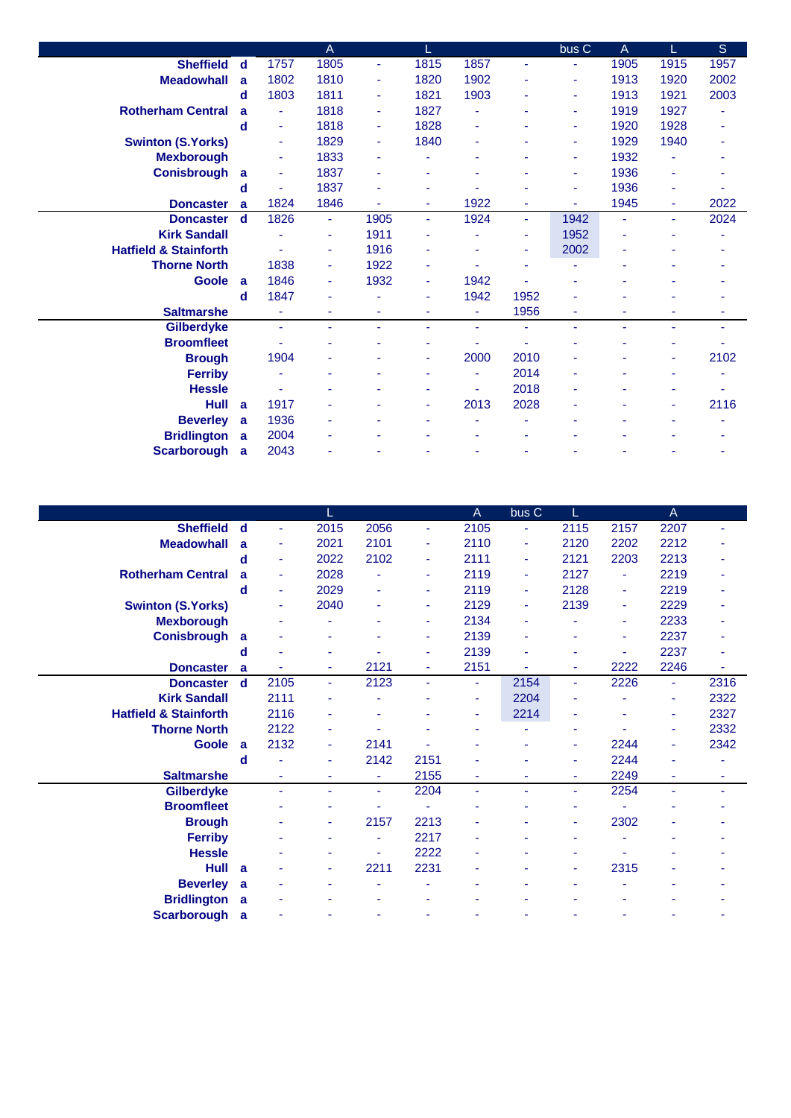|                                  |             |                | $\overline{A}$ |      |      |                |                | bus <sub>C</sub> | A              | L    | S    |
|----------------------------------|-------------|----------------|----------------|------|------|----------------|----------------|------------------|----------------|------|------|
| <b>Sheffield</b>                 | d           | 1757           | 1805           | ٠    | 1815 | 1857           | Ξ              | $\blacksquare$   | 1905           | 1915 | 1957 |
| <b>Meadowhall</b>                | a           | 1802           | 1810           | ٠    | 1820 | 1902           | ٠              | ۰                | 1913           | 1920 | 2002 |
|                                  | d           | 1803           | 1811           | ٠    | 1821 | 1903           | ٠              | ٠                | 1913           | 1921 | 2003 |
| <b>Rotherham Central</b>         | a           | ÷              | 1818           | ٠    | 1827 | ۰              | ٠              | $\blacksquare$   | 1919           | 1927 |      |
|                                  | d           | ٠              | 1818           | ۰    | 1828 | ٠              |                | ٠                | 1920           | 1928 |      |
| <b>Swinton (S.Yorks)</b>         |             | ٠              | 1829           | ۰    | 1840 | ٠              |                | $\blacksquare$   | 1929           | 1940 |      |
| <b>Mexborough</b>                |             | ٠              | 1833           | ٠    | ä,   | ٠              | ۰              | $\blacksquare$   | 1932           |      |      |
| <b>Conisbrough</b>               | a           | ٠              | 1837           | ٠    |      |                | ä,             | $\blacksquare$   | 1936           |      |      |
|                                  | d           |                | 1837           | ٠    |      |                |                | ٠                | 1936           | ٠    |      |
| <b>Doncaster</b>                 | a           | 1824           | 1846           | ä,   | ٠    | 1922           | ä,             | $\blacksquare$   | 1945           | ÷    | 2022 |
| <b>Doncaster</b>                 | $\mathbf d$ | 1826           | ÷              | 1905 | ÷    | 1924           | $\blacksquare$ | 1942             | $\blacksquare$ | ÷    | 2024 |
| <b>Kirk Sandall</b>              |             |                | ٠              | 1911 |      |                | ۰              | 1952             |                |      |      |
| <b>Hatfield &amp; Stainforth</b> |             |                | ٠              | 1916 | ٠    |                | ٠              | 2002             | $\blacksquare$ |      |      |
| <b>Thorne North</b>              |             | 1838           | ÷              | 1922 | ä,   |                | ٠              |                  |                |      |      |
| <b>Goole</b>                     | a           | 1846           | ٠              | 1932 | ٠    | 1942           | ä,             | ٠                |                |      |      |
|                                  | d           | 1847           | $\blacksquare$ |      | ٠    | 1942           | 1952           |                  |                |      |      |
| <b>Saltmarshe</b>                |             | $\blacksquare$ |                | ۰    | ٠    | $\blacksquare$ | 1956           | ۰                |                |      |      |
| <b>Gilberdyke</b>                |             | ٠              | ÷              | ٠    | ٠    | $\blacksquare$ | ä,             | $\blacksquare$   | ٠              | ٠    | ٠    |
| <b>Broomfleet</b>                |             |                |                |      | ۰    |                |                |                  |                | ۰    |      |
| <b>Brough</b>                    |             | 1904           |                |      |      | 2000           | 2010           |                  |                | ä,   | 2102 |
| <b>Ferriby</b>                   |             |                |                |      | ٠    | ٠              | 2014           |                  |                |      |      |
| <b>Hessle</b>                    |             |                |                |      | ۰    | ٠              | 2018           |                  |                |      |      |
| Hull                             | a           | 1917           |                |      | ٠    | 2013           | 2028           |                  |                | ٠    | 2116 |
| <b>Beverley</b>                  | a           | 1936           |                |      |      |                |                |                  |                |      |      |
| <b>Bridlington</b>               | <b>a</b>    | 2004           |                |      |      |                |                |                  |                |      |      |
| <b>Scarborough</b>               | <b>a</b>    | 2043           |                |      |      |                | ۰              |                  |                |      |      |

|                                  |             |                | L              |      |      | $\overline{A}$ | bus <sub>C</sub> | L    |                | $\mathsf{A}$   |      |
|----------------------------------|-------------|----------------|----------------|------|------|----------------|------------------|------|----------------|----------------|------|
| <b>Sheffield</b>                 | d           | $\blacksquare$ | 2015           | 2056 | ٠    | 2105           | ٠                | 2115 | 2157           | 2207           |      |
| <b>Meadowhall</b>                | a           | ٠              | 2021           | 2101 | Ξ    | 2110           | $\blacksquare$   | 2120 | 2202           | 2212           |      |
|                                  | d           | ۰              | 2022           | 2102 | ٠    | 2111           | $\blacksquare$   | 2121 | 2203           | 2213           |      |
| <b>Rotherham Central</b>         | a           | ٠              | 2028           |      | ٠    | 2119           | $\blacksquare$   | 2127 | $\blacksquare$ | 2219           |      |
|                                  | d           | ٠              | 2029           |      | ٠    | 2119           | $\blacksquare$   | 2128 | $\blacksquare$ | 2219           |      |
| <b>Swinton (S.Yorks)</b>         |             | ٠              | 2040           |      | ٠    | 2129           | $\blacksquare$   | 2139 | ٠              | 2229           |      |
| <b>Mexborough</b>                |             |                |                |      |      | 2134           |                  |      | ٠              | 2233           |      |
| <b>Conisbrough</b>               | a           |                | ٠              |      | ٠    | 2139           |                  |      | ۰              | 2237           |      |
|                                  | d           | ۰              | ٠              |      | ۰    | 2139           |                  | ٠    | ۰              | 2237           |      |
| <b>Doncaster</b>                 | a           |                | ٠              | 2121 | ٠    | 2151           | ٠                | ٠    | 2222           | 2246           | ٠    |
| <b>Doncaster</b>                 | $\mathbf d$ | 2105           | ٠              | 2123 | ٠    | ٠              | 2154             | ٠    | 2226           | ٠              | 2316 |
| <b>Kirk Sandall</b>              |             | 2111           |                |      |      | ۰              | 2204             | ۰    |                | ٠              | 2322 |
| <b>Hatfield &amp; Stainforth</b> |             | 2116           |                |      |      | ۰              | 2214             | ۰    |                | $\blacksquare$ | 2327 |
| <b>Thorne North</b>              |             | 2122           | ٠              |      |      | ۰              | ٠                | ۰    |                | ٠              | 2332 |
| <b>Goole</b>                     | a           | 2132           | $\blacksquare$ | 2141 |      |                |                  | ۰    | 2244           | ٠              | 2342 |
|                                  | d           |                | ٠              | 2142 | 2151 | ۰              |                  | ٠    | 2244           | ٠              |      |
| <b>Saltmarshe</b>                |             | ä,             | ۰              | ٠    | 2155 | ٠              | ٠                | ٠    | 2249           | ٠              | ۰    |
| Gilberdyke                       |             | ä,             | ٠              | ÷    | 2204 | ٠              | ä,               | ä,   | 2254           | ä,             | ٠    |
| <b>Broomfleet</b>                |             |                |                |      |      |                |                  |      |                |                |      |
| <b>Brough</b>                    |             |                | ٠              | 2157 | 2213 | ٠              |                  | ۰    | 2302           |                |      |
| <b>Ferriby</b>                   |             |                | ٠              | ٠    | 2217 | ۰              |                  |      |                |                |      |
| <b>Hessle</b>                    |             |                | ٠              | ٠    | 2222 | ۰              |                  | ۰    | ٠              |                |      |
| <b>Hull</b>                      | a           |                | ٠              | 2211 | 2231 | ۰              |                  | ٠    | 2315           |                |      |
| <b>Beverley</b>                  | a           |                |                |      |      |                |                  |      |                |                |      |
| <b>Bridlington</b>               | a           |                |                |      |      |                |                  |      |                |                |      |
| <b>Scarborough</b>               | a           |                |                |      | ٠    |                |                  |      |                |                |      |